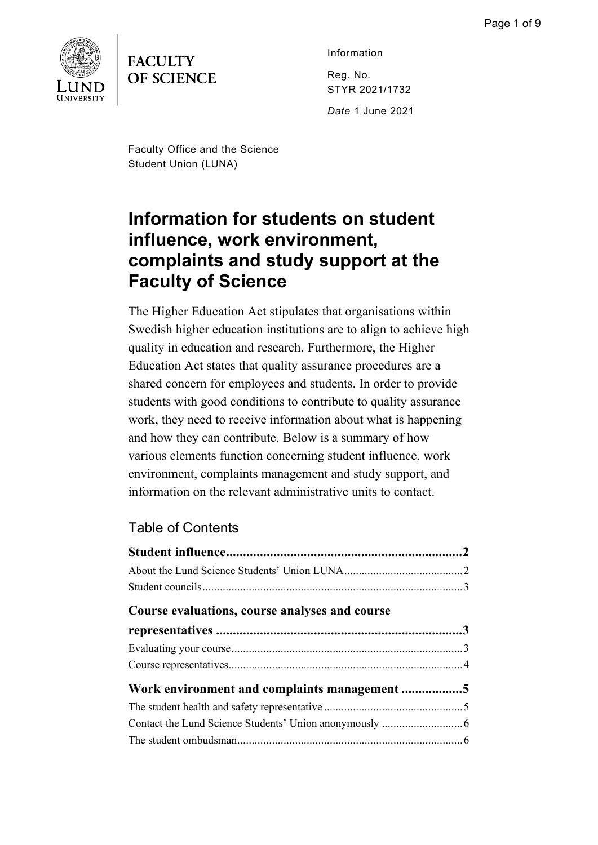

# **FACULTY OF SCIENCE**

Information Reg. No. STYR 2021/1732

*Date* 1 June 2021

Faculty Office and the Science Student Union (LUNA)

# **Information for students on student influence, work environment, complaints and study support at the Faculty of Science**

The Higher Education Act stipulates that organisations within Swedish higher education institutions are to align to achieve high quality in education and research. Furthermore, the Higher Education Act states that quality assurance procedures are a shared concern for employees and students. In order to provide students with good conditions to contribute to quality assurance work, they need to receive information about what is happening and how they can contribute. Below is a summary of how various elements function concerning student influence, work environment, complaints management and study support, and information on the relevant administrative units to contact.

# Table of Contents

| Course evaluations, course analyses and course |  |
|------------------------------------------------|--|
|                                                |  |
|                                                |  |
|                                                |  |
| Work environment and complaints management 5   |  |
|                                                |  |
|                                                |  |
|                                                |  |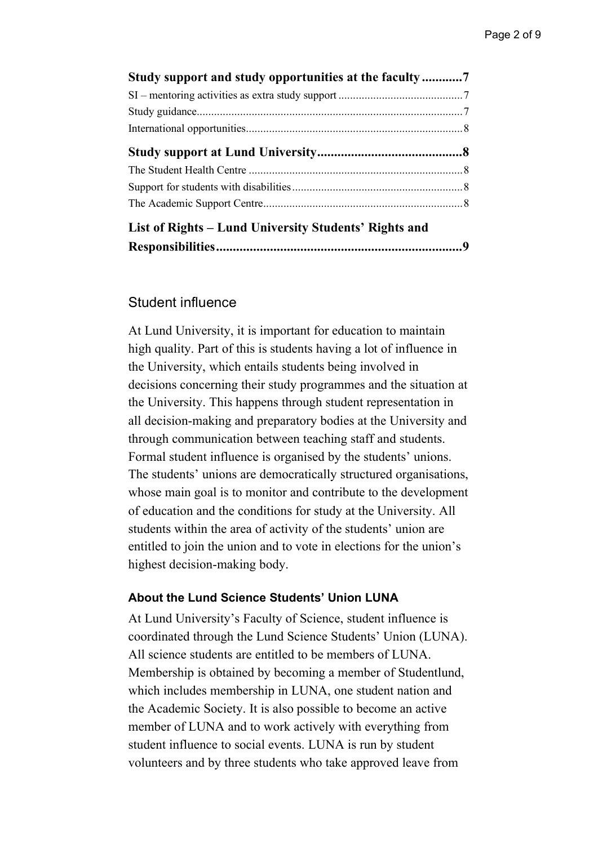| Study support and study opportunities at the faculty7 |  |
|-------------------------------------------------------|--|
|                                                       |  |
|                                                       |  |
|                                                       |  |
|                                                       |  |
|                                                       |  |
|                                                       |  |
|                                                       |  |
| List of Rights – Lund University Students' Rights and |  |
|                                                       |  |

# <span id="page-1-0"></span>Student influence

At Lund University, it is important for education to maintain high quality. Part of this is students having a lot of influence in the University, which entails students being involved in decisions concerning their study programmes and the situation at the University. This happens through student representation in all decision-making and preparatory bodies at the University and through communication between teaching staff and students. Formal student influence is organised by the students' unions. The students' unions are democratically structured organisations, whose main goal is to monitor and contribute to the development of education and the conditions for study at the University. All students within the area of activity of the students' union are entitled to join the union and to vote in elections for the union's highest decision-making body.

#### <span id="page-1-1"></span>**About the Lund Science Students' Union LUNA**

At Lund University's Faculty of Science, student influence is coordinated through the Lund Science Students' Union (LUNA). All science students are entitled to be members of LUNA. Membership is obtained by becoming a member of Studentlund, which includes membership in LUNA, one student nation and the Academic Society. It is also possible to become an active member of LUNA and to work actively with everything from student influence to social events. LUNA is run by student volunteers and by three students who take approved leave from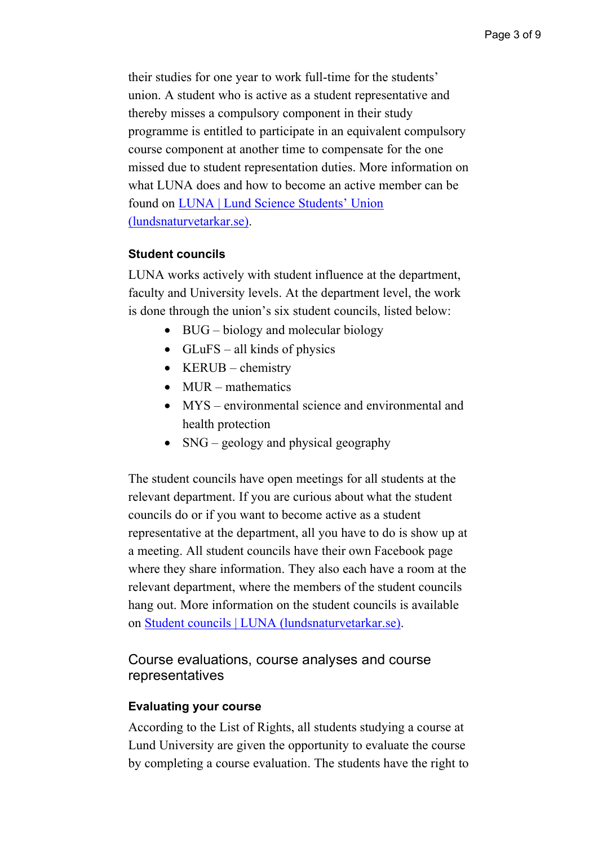their studies for one year to work full-time for the students' union. A student who is active as a student representative and thereby misses a compulsory component in their study programme is entitled to participate in an equivalent compulsory course component at another time to compensate for the one missed due to student representation duties. More information on what LUNA does and how to become an active member can be found on [LUNA | Lund Science Students' Union](https://www.lundsnaturvetarkar.se/)  [\(lundsnaturvetarkar.se\).](https://www.lundsnaturvetarkar.se/)

# <span id="page-2-0"></span>**Student councils**

LUNA works actively with student influence at the department, faculty and University levels. At the department level, the work is done through the union's six student councils, listed below:

- BUG biology and molecular biology
- GLuFS all kinds of physics
- KERUB chemistry
- MUR mathematics
- MYS environmental science and environmental and health protection
- SNG geology and physical geography

The student councils have open meetings for all students at the relevant department. If you are curious about what the student councils do or if you want to become active as a student representative at the department, all you have to do is show up at a meeting. All student councils have their own Facebook page where they share information. They also each have a room at the relevant department, where the members of the student councils hang out. More information on the student councils is available on [Student councils | LUNA](https://www.lundsnaturvetarkar.se/student-councils/) (lundsnaturvetarkar.se).

# <span id="page-2-1"></span>Course evaluations, course analyses and course representatives

#### <span id="page-2-2"></span>**Evaluating your course**

According to the List of Rights, all students studying a course at Lund University are given the opportunity to evaluate the course by completing a course evaluation. The students have the right to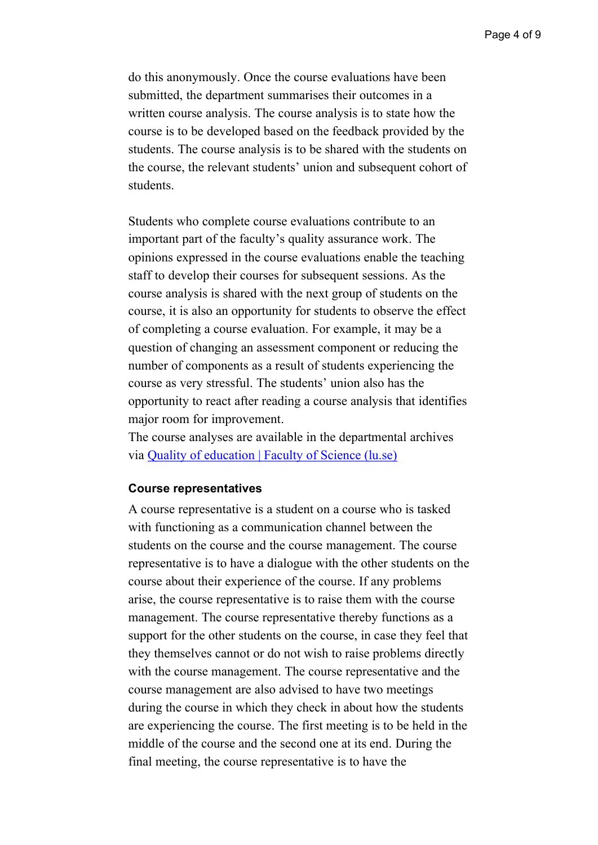do this anonymously. Once the course evaluations have been submitted, the department summarises their outcomes in a written course analysis. The course analysis is to state how the course is to be developed based on the feedback provided by the students. The course analysis is to be shared with the students on the course, the relevant students' union and subsequent cohort of students.

Students who complete course evaluations contribute to an important part of the faculty's quality assurance work. The opinions expressed in the course evaluations enable the teaching staff to develop their courses for subsequent sessions. As the course analysis is shared with the next group of students on the course, it is also an opportunity for students to observe the effect of completing a course evaluation. For example, it may be a question of changing an assessment component or reducing the number of components as a result of students experiencing the course as very stressful. The students' union also has the opportunity to react after reading a course analysis that identifies major room for improvement.

The course analyses are available in the departmental archives via [Quality of education | Faculty of Science \(lu.se\)](https://www.science.lu.se/education/quality-education)

#### <span id="page-3-0"></span>**Course representatives**

A course representative is a student on a course who is tasked with functioning as a communication channel between the students on the course and the course management. The course representative is to have a dialogue with the other students on the course about their experience of the course. If any problems arise, the course representative is to raise them with the course management. The course representative thereby functions as a support for the other students on the course, in case they feel that they themselves cannot or do not wish to raise problems directly with the course management. The course representative and the course management are also advised to have two meetings during the course in which they check in about how the students are experiencing the course. The first meeting is to be held in the middle of the course and the second one at its end. During the final meeting, the course representative is to have the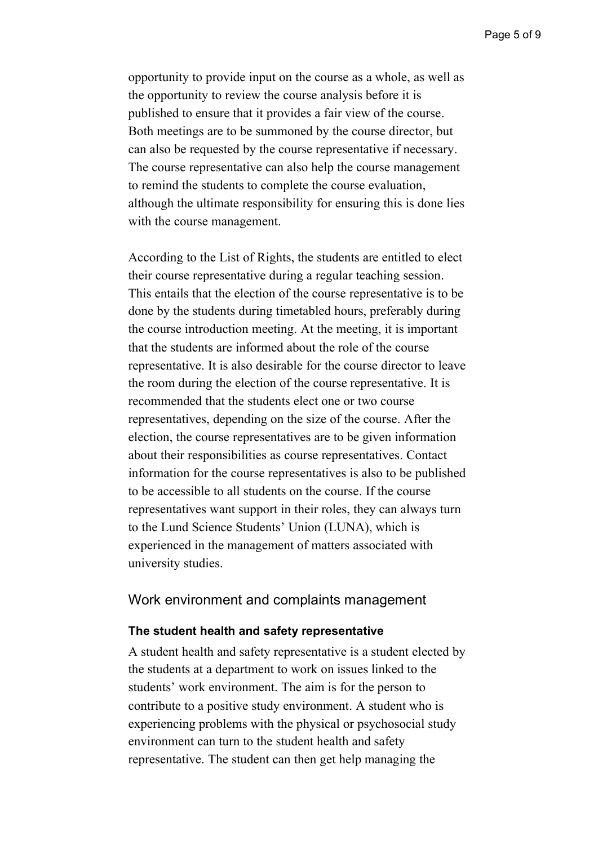opportunity to provide input on the course as a whole, as well as the opportunity to review the course analysis before it is published to ensure that it provides a fair view of the course. Both meetings are to be summoned by the course director, but can also be requested by the course representative if necessary. The course representative can also help the course management to remind the students to complete the course evaluation, although the ultimate responsibility for ensuring this is done lies with the course management.

According to the List of Rights, the students are entitled to elect their course representative during a regular teaching session. This entails that the election of the course representative is to be done by the students during timetabled hours, preferably during the course introduction meeting. At the meeting, it is important that the students are informed about the role of the course representative. It is also desirable for the course director to leave the room during the election of the course representative. It is recommended that the students elect one or two course representatives, depending on the size of the course. After the election, the course representatives are to be given information about their responsibilities as course representatives. Contact information for the course representatives is also to be published to be accessible to all students on the course. If the course representatives want support in their roles, they can always turn to the Lund Science Students' Union (LUNA), which is experienced in the management of matters associated with university studies.

#### <span id="page-4-0"></span>Work environment and complaints management

#### <span id="page-4-1"></span>**The student health and safety representative**

A student health and safety representative is a student elected by the students at a department to work on issues linked to the students' work environment. The aim is for the person to contribute to a positive study environment. A student who is experiencing problems with the physical or psychosocial study environment can turn to the student health and safety representative. The student can then get help managing the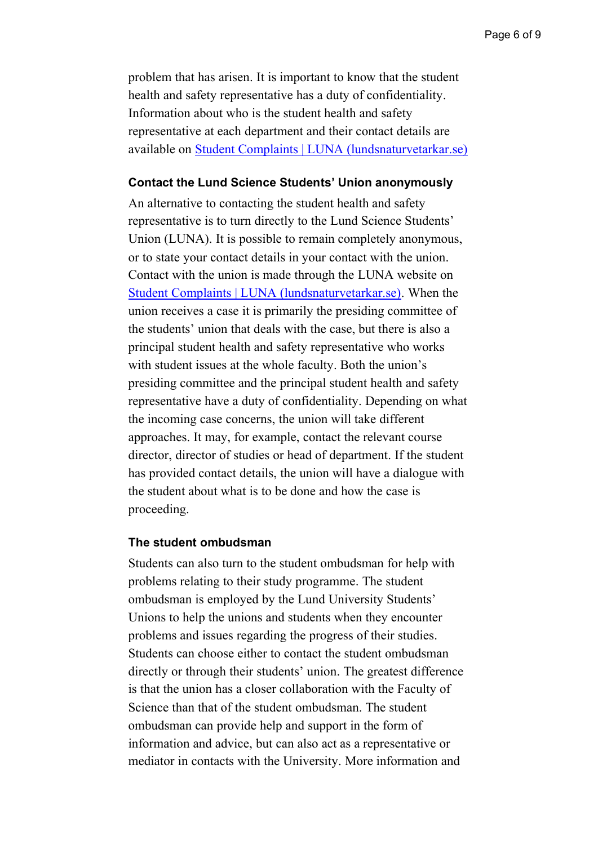problem that has arisen. It is important to know that the student health and safety representative has a duty of confidentiality. Information about who is the student health and safety representative at each department and their contact details are available on [Student Complaints | LUNA \(lundsnaturvetarkar.se\)](https://www.lundsnaturvetarkar.se/complaints/)

#### <span id="page-5-0"></span>**Contact the Lund Science Students' Union anonymously**

An alternative to contacting the student health and safety representative is to turn directly to the Lund Science Students' Union (LUNA). It is possible to remain completely anonymous, or to state your contact details in your contact with the union. Contact with the union is made through the LUNA website on [Student Complaints | LUNA \(lundsnaturvetarkar.se\).](https://www.lundsnaturvetarkar.se/complaints/) When the union receives a case it is primarily the presiding committee of the students' union that deals with the case, but there is also a principal student health and safety representative who works with student issues at the whole faculty. Both the union's presiding committee and the principal student health and safety representative have a duty of confidentiality. Depending on what the incoming case concerns, the union will take different approaches. It may, for example, contact the relevant course director, director of studies or head of department. If the student has provided contact details, the union will have a dialogue with the student about what is to be done and how the case is proceeding.

#### <span id="page-5-1"></span>**The student ombudsman**

Students can also turn to the student ombudsman for help with problems relating to their study programme. The student ombudsman is employed by the Lund University Students' Unions to help the unions and students when they encounter problems and issues regarding the progress of their studies. Students can choose either to contact the student ombudsman directly or through their students' union. The greatest difference is that the union has a closer collaboration with the Faculty of Science than that of the student ombudsman. The student ombudsman can provide help and support in the form of information and advice, but can also act as a representative or mediator in contacts with the University. More information and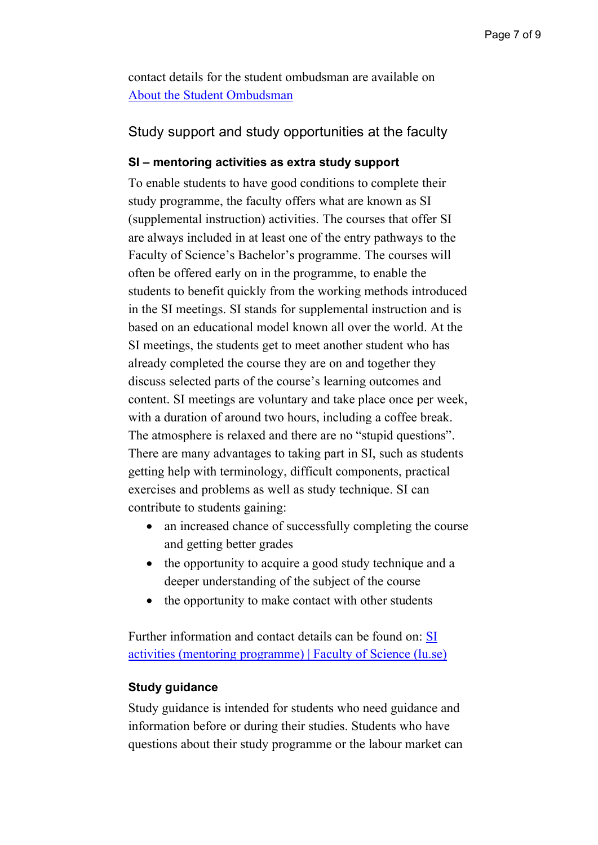contact details for the student ombudsman are available on [About the Student Ombudsman](https://www.studentombudet.se/about-the-student-ombudsman) 

# <span id="page-6-0"></span>Study support and study opportunities at the faculty

# <span id="page-6-1"></span>**SI – mentoring activities as extra study support**

To enable students to have good conditions to complete their study programme, the faculty offers what are known as SI (supplemental instruction) activities. The courses that offer SI are always included in at least one of the entry pathways to the Faculty of Science's Bachelor's programme. The courses will often be offered early on in the programme, to enable the students to benefit quickly from the working methods introduced in the SI meetings. SI stands for supplemental instruction and is based on an educational model known all over the world. At the SI meetings, the students get to meet another student who has already completed the course they are on and together they discuss selected parts of the course's learning outcomes and content. SI meetings are voluntary and take place once per week, with a duration of around two hours, including a coffee break. The atmosphere is relaxed and there are no "stupid questions". There are many advantages to taking part in SI, such as students getting help with terminology, difficult components, practical exercises and problems as well as study technique. SI can contribute to students gaining:

- an increased chance of successfully completing the course and getting better grades
- the opportunity to acquire a good study technique and a deeper understanding of the subject of the course
- the opportunity to make contact with other students

Further information and contact details can be found on: [SI](https://www.science.lu.se/education/student-life/si-activities-mentoring-programme)  [activities \(mentoring programme\) | Faculty of Science \(lu.se\)](https://www.science.lu.se/education/student-life/si-activities-mentoring-programme)

# <span id="page-6-2"></span>**Study guidance**

Study guidance is intended for students who need guidance and information before or during their studies. Students who have questions about their study programme or the labour market can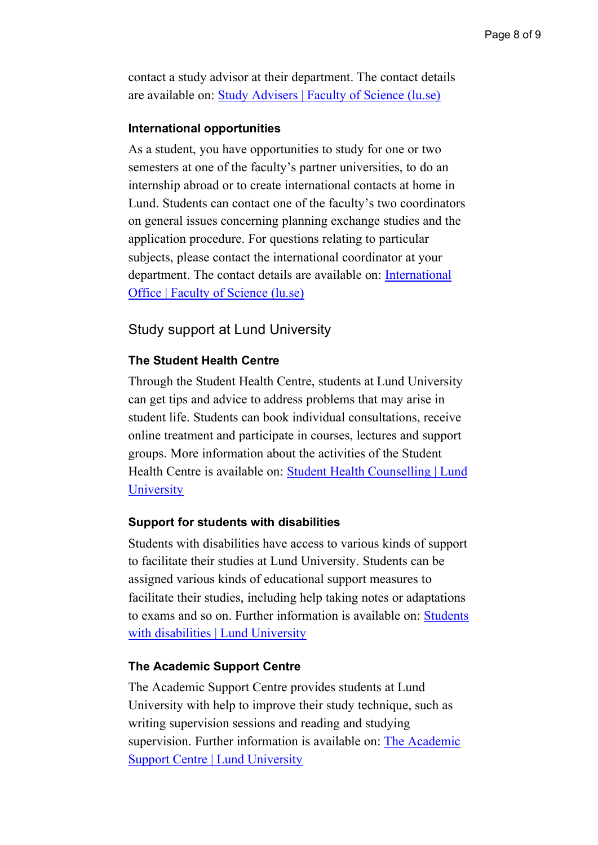contact a study advisor at their department. The contact details are available on: [Study Advisers | Faculty of Science \(lu.se\)](https://www.science.lu.se/contact/study-advisers)

#### <span id="page-7-0"></span>**International opportunities**

As a student, you have opportunities to study for one or two semesters at one of the faculty's partner universities, to do an internship abroad or to create international contacts at home in Lund. Students can contact one of the faculty's two coordinators on general issues concerning planning exchange studies and the application procedure. For questions relating to particular subjects, please contact the international coordinator at your department. The contact details are available on: [International](https://www.science.lu.se/contact/international-office)  [Office | Faculty of Science \(lu.se\)](https://www.science.lu.se/contact/international-office)

# <span id="page-7-1"></span>Study support at Lund University

### <span id="page-7-2"></span>**The Student Health Centre**

Through the Student Health Centre, students at Lund University can get tips and advice to address problems that may arise in student life. Students can book individual consultations, receive online treatment and participate in courses, lectures and support groups. More information about the activities of the Student Health Centre is available on: [Student Health Counselling | Lund](https://www.lunduniversity.lu.se/current-students/health-care/student-health-counselling)  **[University](https://www.lunduniversity.lu.se/current-students/health-care/student-health-counselling)** 

#### <span id="page-7-3"></span>**Support for students with disabilities**

Students with disabilities have access to various kinds of support to facilitate their studies at Lund University. Students can be assigned various kinds of educational support measures to facilitate their studies, including help taking notes or adaptations to exams and so on. Further information is available on: [Students](https://www.lunduniversity.lu.se/student-life/before-you-arrive/students-disabilities)  with disabilities [| Lund University](https://www.lunduniversity.lu.se/student-life/before-you-arrive/students-disabilities)

#### <span id="page-7-4"></span>**The Academic Support Centre**

The Academic Support Centre provides students at Lund University with help to improve their study technique, such as writing supervision sessions and reading and studying supervision. Further information is available on: [The Academic](https://www.lunduniversity.lu.se/current-students/academic-matters-and-support/academic-support-centre)  [Support Centre | Lund University](https://www.lunduniversity.lu.se/current-students/academic-matters-and-support/academic-support-centre)